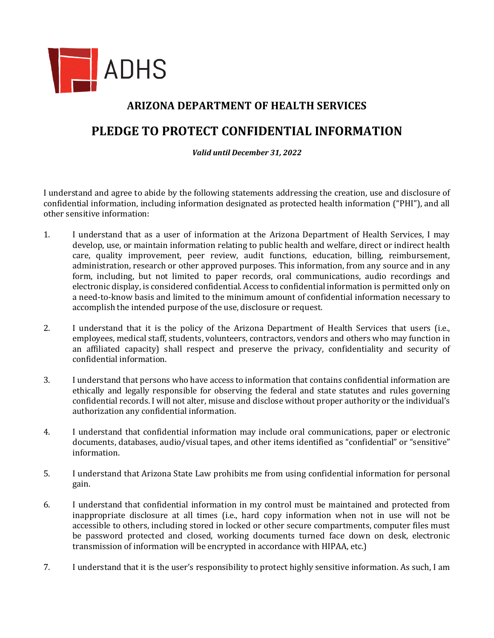

## **ARIZONA DEPARTMENT OF HEALTH SERVICES**

## **PLEDGE TO PROTECT CONFIDENTIAL INFORMATION**

*Valid until December 31, 2022*

I understand and agree to abide by the following statements addressing the creation, use and disclosure of confidential information, including information designated as protected health information ("PHI"), and all other sensitive information:

- 1. I understand that as a user of information at the Arizona Department of Health Services, I may develop, use, or maintain information relating to public health and welfare, direct or indirect health care, quality improvement, peer review, audit functions, education, billing, reimbursement, administration, research or other approved purposes. This information, from any source and in any form, including, but not limited to paper records, oral communications, audio recordings and electronic display, is considered confidential. Access to confidential information is permitted only on a need-to-know basis and limited to the minimum amount of confidential information necessary to accomplish the intended purpose of the use, disclosure or request.
- 2. I understand that it is the policy of the Arizona Department of Health Services that users (i.e., employees, medical staff, students, volunteers, contractors, vendors and others who may function in an affiliated capacity) shall respect and preserve the privacy, confidentiality and security of confidential information.
- 3. I understand that persons who have access to information that contains confidential information are ethically and legally responsible for observing the federal and state statutes and rules governing confidential records. I will not alter, misuse and disclose without proper authority or the individual's authorization any confidential information.
- 4. I understand that confidential information may include oral communications, paper or electronic documents, databases, audio/visual tapes, and other items identified as "confidential" or "sensitive" information.
- 5. I understand that Arizona State Law prohibits me from using confidential information for personal gain.
- 6. I understand that confidential information in my control must be maintained and protected from inappropriate disclosure at all times (i.e., hard copy information when not in use will not be accessible to others, including stored in locked or other secure compartments, computer files must be password protected and closed, working documents turned face down on desk, electronic transmission of information will be encrypted in accordance with HIPAA, etc.)
- 7. I understand that it is the user's responsibility to protect highly sensitive information. As such, I am